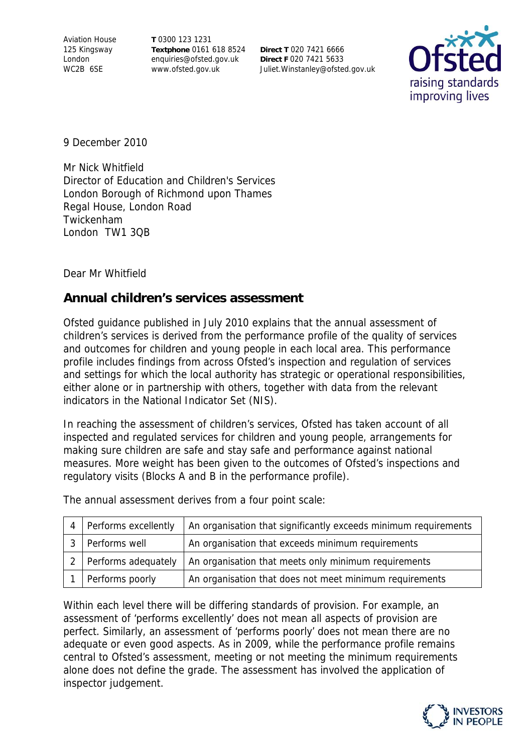Aviation House 125 Kingsway London WC2B 6SE

**T** 0300 123 1231 **Textphone** 0161 618 8524 enquiries@ofsted.gov.uk www.ofsted.gov.uk

**Direct T** 020 7421 6666 **Direct F** 020 7421 5633 Juliet.Winstanley@ofsted.gov.uk



9 December 2010

Mr Nick Whitfield Director of Education and Children's Services London Borough of Richmond upon Thames Regal House, London Road Twickenham London TW1 3QB

Dear Mr Whitfield

## **Annual children's services assessment**

Ofsted guidance published in July 2010 explains that the annual assessment of children's services is derived from the performance profile of the quality of services and outcomes for children and young people in each local area. This performance profile includes findings from across Ofsted's inspection and regulation of services and settings for which the local authority has strategic or operational responsibilities, either alone or in partnership with others, together with data from the relevant indicators in the National Indicator Set (NIS).

In reaching the assessment of children's services, Ofsted has taken account of all inspected and regulated services for children and young people, arrangements for making sure children are safe and stay safe and performance against national measures. More weight has been given to the outcomes of Ofsted's inspections and regulatory visits (Blocks A and B in the performance profile).

The annual assessment derives from a four point scale:

| Performs excellently    | An organisation that significantly exceeds minimum requirements |
|-------------------------|-----------------------------------------------------------------|
| Performs well           | An organisation that exceeds minimum requirements               |
| 2   Performs adequately | An organisation that meets only minimum requirements            |
| Performs poorly         | An organisation that does not meet minimum requirements         |

Within each level there will be differing standards of provision. For example, an assessment of 'performs excellently' does not mean all aspects of provision are perfect. Similarly, an assessment of 'performs poorly' does not mean there are no adequate or even good aspects. As in 2009, while the performance profile remains central to Ofsted's assessment, meeting or not meeting the minimum requirements alone does not define the grade. The assessment has involved the application of inspector judgement.

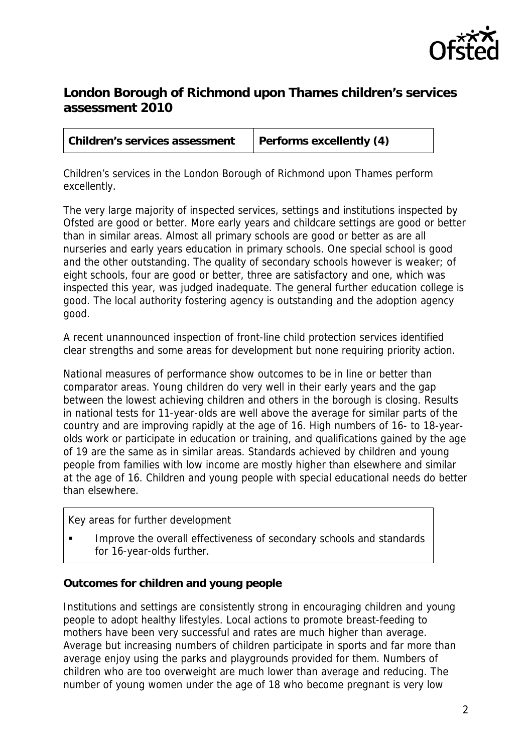

# **London Borough of Richmond upon Thames children's services assessment 2010**

| Children's services assessment | Performs excellently (4) |  |
|--------------------------------|--------------------------|--|
|                                |                          |  |

Children's services in the London Borough of Richmond upon Thames perform excellently.

The very large majority of inspected services, settings and institutions inspected by Ofsted are good or better. More early years and childcare settings are good or better than in similar areas. Almost all primary schools are good or better as are all nurseries and early years education in primary schools. One special school is good and the other outstanding. The quality of secondary schools however is weaker; of eight schools, four are good or better, three are satisfactory and one, which was inspected this year, was judged inadequate. The general further education college is good. The local authority fostering agency is outstanding and the adoption agency good.

A recent unannounced inspection of front-line child protection services identified clear strengths and some areas for development but none requiring priority action.

National measures of performance show outcomes to be in line or better than comparator areas. Young children do very well in their early years and the gap between the lowest achieving children and others in the borough is closing. Results in national tests for 11-year-olds are well above the average for similar parts of the country and are improving rapidly at the age of 16. High numbers of 16- to 18-yearolds work or participate in education or training, and qualifications gained by the age of 19 are the same as in similar areas. Standards achieved by children and young people from families with low income are mostly higher than elsewhere and similar at the age of 16. Children and young people with special educational needs do better than elsewhere.

#### Key areas for further development

 Improve the overall effectiveness of secondary schools and standards for 16-year-olds further.

## **Outcomes for children and young people**

Institutions and settings are consistently strong in encouraging children and young people to adopt healthy lifestyles. Local actions to promote breast-feeding to mothers have been very successful and rates are much higher than average. Average but increasing numbers of children participate in sports and far more than average enjoy using the parks and playgrounds provided for them. Numbers of children who are too overweight are much lower than average and reducing. The number of young women under the age of 18 who become pregnant is very low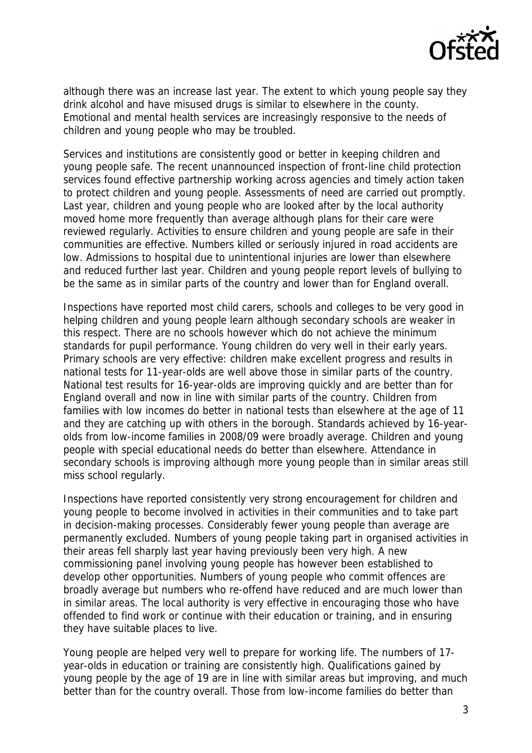

although there was an increase last year. The extent to which young people say they drink alcohol and have misused drugs is similar to elsewhere in the county. Emotional and mental health services are increasingly responsive to the needs of children and young people who may be troubled.

Services and institutions are consistently good or better in keeping children and young people safe. The recent unannounced inspection of front-line child protection services found effective partnership working across agencies and timely action taken to protect children and young people. Assessments of need are carried out promptly. Last year, children and young people who are looked after by the local authority moved home more frequently than average although plans for their care were reviewed regularly. Activities to ensure children and young people are safe in their communities are effective. Numbers killed or seriously injured in road accidents are low. Admissions to hospital due to unintentional injuries are lower than elsewhere and reduced further last year. Children and young people report levels of bullying to be the same as in similar parts of the country and lower than for England overall.

Inspections have reported most child carers, schools and colleges to be very good in helping children and young people learn although secondary schools are weaker in this respect. There are no schools however which do not achieve the minimum standards for pupil performance. Young children do very well in their early years. Primary schools are very effective: children make excellent progress and results in national tests for 11-year-olds are well above those in similar parts of the country. National test results for 16-year-olds are improving quickly and are better than for England overall and now in line with similar parts of the country. Children from families with low incomes do better in national tests than elsewhere at the age of 11 and they are catching up with others in the borough. Standards achieved by 16-yearolds from low-income families in 2008/09 were broadly average. Children and young people with special educational needs do better than elsewhere. Attendance in secondary schools is improving although more young people than in similar areas still miss school regularly.

Inspections have reported consistently very strong encouragement for children and young people to become involved in activities in their communities and to take part in decision-making processes. Considerably fewer young people than average are permanently excluded. Numbers of young people taking part in organised activities in their areas fell sharply last year having previously been very high. A new commissioning panel involving young people has however been established to develop other opportunities. Numbers of young people who commit offences are broadly average but numbers who re-offend have reduced and are much lower than in similar areas. The local authority is very effective in encouraging those who have offended to find work or continue with their education or training, and in ensuring they have suitable places to live.

Young people are helped very well to prepare for working life. The numbers of 17 year-olds in education or training are consistently high. Qualifications gained by young people by the age of 19 are in line with similar areas but improving, and much better than for the country overall. Those from low-income families do better than